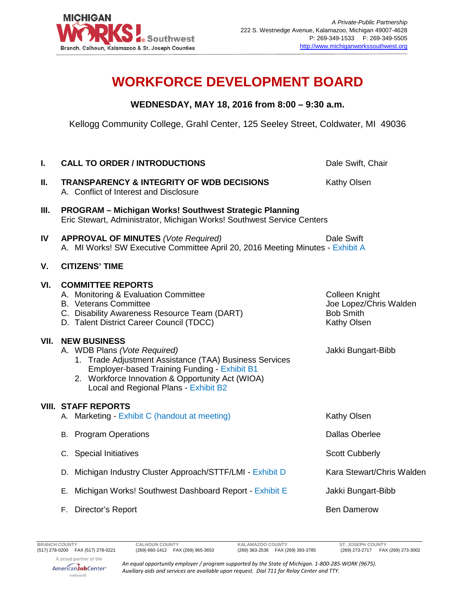

## **WORKFORCE DEVELOPMENT BOARD**

## **WEDNESDAY, MAY 18, 2016 from 8:00 – 9:30 a.m.**

Kellogg Community College, Grahl Center, 125 Seeley Street, Coldwater, MI 49036

| I.   | <b>CALL TO ORDER / INTRODUCTIONS</b>                                                                                                                                                                                                                              | Dale Swift, Chair                                                           |
|------|-------------------------------------------------------------------------------------------------------------------------------------------------------------------------------------------------------------------------------------------------------------------|-----------------------------------------------------------------------------|
| ΙΙ.  | <b>TRANSPARENCY &amp; INTEGRITY OF WDB DECISIONS</b><br>A. Conflict of Interest and Disclosure                                                                                                                                                                    | Kathy Olsen                                                                 |
| Ш.   | <b>PROGRAM - Michigan Works! Southwest Strategic Planning</b><br>Eric Stewart, Administrator, Michigan Works! Southwest Service Centers                                                                                                                           |                                                                             |
| IV   | <b>APPROVAL OF MINUTES (Vote Required)</b><br>A. MI Works! SW Executive Committee April 20, 2016 Meeting Minutes - Exhibit A                                                                                                                                      | Dale Swift                                                                  |
| V.   | <b>CITIZENS' TIME</b>                                                                                                                                                                                                                                             |                                                                             |
| VI.  | <b>COMMITTEE REPORTS</b><br>A. Monitoring & Evaluation Committee<br><b>B.</b> Veterans Committee<br>C. Disability Awareness Resource Team (DART)<br>D. Talent District Career Council (TDCC)                                                                      | Colleen Knight<br>Joe Lopez/Chris Walden<br><b>Bob Smith</b><br>Kathy Olsen |
| VII. | <b>NEW BUSINESS</b><br>A. WDB Plans (Vote Required)<br>1. Trade Adjustment Assistance (TAA) Business Services<br><b>Employer-based Training Funding - Exhibit B1</b><br>2. Workforce Innovation & Opportunity Act (WIOA)<br>Local and Regional Plans - Exhibit B2 | Jakki Bungart-Bibb                                                          |
|      | <b>VIII. STAFF REPORTS</b><br>A. Marketing - Exhibit C (handout at meeting)                                                                                                                                                                                       | Kathy Olsen                                                                 |
|      | <b>B.</b> Program Operations                                                                                                                                                                                                                                      | <b>Dallas Oberlee</b>                                                       |
|      | C. Special Initiatives                                                                                                                                                                                                                                            | <b>Scott Cubberly</b>                                                       |
|      | D. Michigan Industry Cluster Approach/STTF/LMI - Exhibit D                                                                                                                                                                                                        | Kara Stewart/Chris Walden                                                   |
|      | Michigan Works! Southwest Dashboard Report - Exhibit E<br>Е.                                                                                                                                                                                                      | Jakki Bungart-Bibb                                                          |
|      | F. Director's Report                                                                                                                                                                                                                                              | <b>Ben Damerow</b>                                                          |
|      |                                                                                                                                                                                                                                                                   |                                                                             |

(269) 383-2536 FAX (269) 383-3785

*An equal opportunity employer / program supported by the State of Michigan. 1-800-285-WORK (9675). Auxiliary aids and services are available upon request. Dial 711 for Relay Center and TTY.*